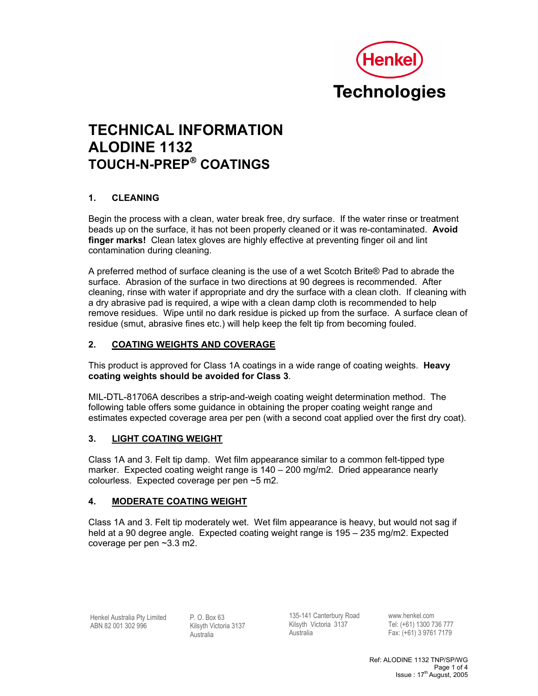

# **TECHNICAL INFORMATION ALODINE 1132 TOUCH-N-PREP COATINGS**

# **1. CLEANING**

Begin the process with a clean, water break free, dry surface. If the water rinse or treatment beads up on the surface, it has not been properly cleaned or it was re-contaminated. **Avoid finger marks!** Clean latex gloves are highly effective at preventing finger oil and lint contamination during cleaning.

A preferred method of surface cleaning is the use of a wet Scotch Brite® Pad to abrade the surface. Abrasion of the surface in two directions at 90 degrees is recommended. After cleaning, rinse with water if appropriate and dry the surface with a clean cloth. If cleaning with a dry abrasive pad is required, a wipe with a clean damp cloth is recommended to help remove residues. Wipe until no dark residue is picked up from the surface. A surface clean of residue (smut, abrasive fines etc.) will help keep the felt tip from becoming fouled.

# **2. COATING WEIGHTS AND COVERAGE**

This product is approved for Class 1A coatings in a wide range of coating weights. **Heavy coating weights should be avoided for Class 3**.

MIL-DTL-81706A describes a strip-and-weigh coating weight determination method. The following table offers some guidance in obtaining the proper coating weight range and estimates expected coverage area per pen (with a second coat applied over the first dry coat).

# **3. LIGHT COATING WEIGHT**

Class 1A and 3. Felt tip damp. Wet film appearance similar to a common felt-tipped type marker. Expected coating weight range is 140 – 200 mg/m2. Dried appearance nearly colourless. Expected coverage per pen ~5 m2.

# **4. MODERATE COATING WEIGHT**

Class 1A and 3. Felt tip moderately wet. Wet film appearance is heavy, but would not sag if held at a 90 degree angle. Expected coating weight range is 195 – 235 mg/m2. Expected coverage per pen ~3.3 m2.

Henkel Australia Pty Limited ABN 82 001 302 996

P. O. Box 63 Kilsyth Victoria 3137 Australia

135-141 Canterbury Road Kilsyth Victoria 3137 Australia

www.henkel.com Tel: (+61) 1300 736 777 Fax: (+61) 3 9761 7179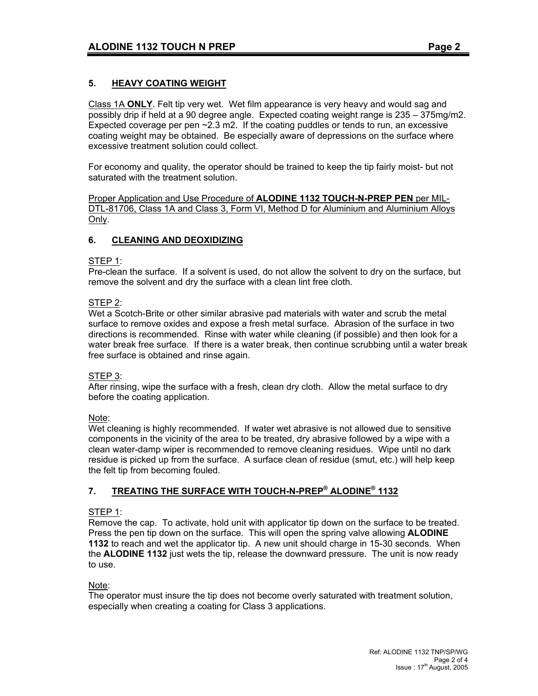# **5. HEAVY COATING WEIGHT**

Class 1A **ONLY**. Felt tip very wet. Wet film appearance is very heavy and would sag and possibly drip if held at a 90 degree angle. Expected coating weight range is 235 – 375mg/m2. Expected coverage per pen ~2.3 m2. If the coating puddles or tends to run, an excessive coating weight may be obtained. Be especially aware of depressions on the surface where excessive treatment solution could collect.

For economy and quality, the operator should be trained to keep the tip fairly moist- but not saturated with the treatment solution.

Proper Application and Use Procedure of **ALODINE 1132 TOUCH-N-PREP PEN** per MIL-DTL-81706, Class 1A and Class 3, Form VI, Method D for Aluminium and Aluminium Alloys Only.

# **6. CLEANING AND DEOXIDIZING**

# STEP 1:

Pre-clean the surface. If a solvent is used, do not allow the solvent to dry on the surface, but remove the solvent and dry the surface with a clean lint free cloth.

# STEP 2:

Wet a Scotch-Brite or other similar abrasive pad materials with water and scrub the metal surface to remove oxides and expose a fresh metal surface. Abrasion of the surface in two directions is recommended. Rinse with water while cleaning (if possible) and then look for a water break free surface. If there is a water break, then continue scrubbing until a water break free surface is obtained and rinse again.

#### STEP 3:

After rinsing, wipe the surface with a fresh, clean dry cloth. Allow the metal surface to dry before the coating application.

Note:

Wet cleaning is highly recommended. If water wet abrasive is not allowed due to sensitive components in the vicinity of the area to be treated, dry abrasive followed by a wipe with a clean water-damp wiper is recommended to remove cleaning residues. Wipe until no dark residue is picked up from the surface. A surface clean of residue (smut, etc.) will help keep the felt tip from becoming fouled.

# **7. TREATING THE SURFACE WITH TOUCH-N-PREP® ALODINE® 1132**

# STEP 1:

Remove the cap. To activate, hold unit with applicator tip down on the surface to be treated. Press the pen tip down on the surface. This will open the spring valve allowing **ALODINE 1132** to reach and wet the applicator tip. A new unit should charge in 15-30 seconds. When the **ALODINE 1132** just wets the tip, release the downward pressure. The unit is now ready to use.

Note:

The operator must insure the tip does not become overly saturated with treatment solution, especially when creating a coating for Class 3 applications.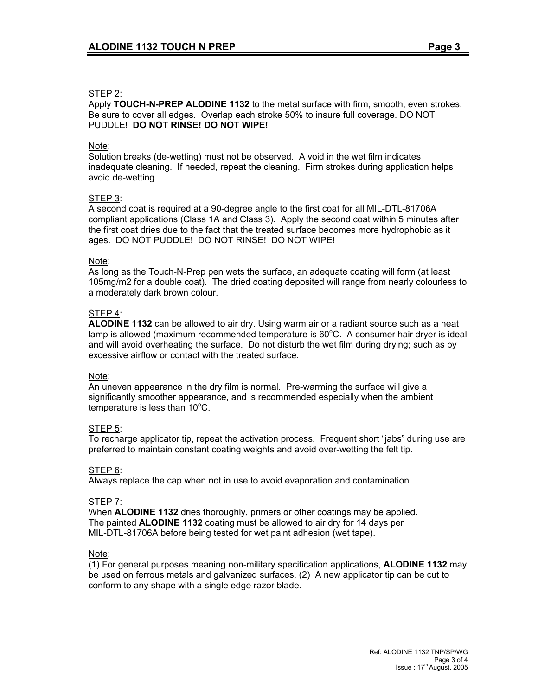#### STEP 2:

Apply **TOUCH-N-PREP ALODINE 1132** to the metal surface with firm, smooth, even strokes. Be sure to cover all edges. Overlap each stroke 50% to insure full coverage. DO NOT PUDDLE! **DO NOT RINSE! DO NOT WIPE!**

#### Note:

Solution breaks (de-wetting) must not be observed. A void in the wet film indicates inadequate cleaning. If needed, repeat the cleaning. Firm strokes during application helps avoid de-wetting.

# STEP 3:

A second coat is required at a 90-degree angle to the first coat for all MIL-DTL-81706A compliant applications (Class 1A and Class 3). Apply the second coat within 5 minutes after the first coat dries due to the fact that the treated surface becomes more hydrophobic as it ages. DO NOT PUDDLE! DO NOT RINSE! DO NOT WIPE!

#### Note:

As long as the Touch-N-Prep pen wets the surface, an adequate coating will form (at least 105mg/m2 for a double coat). The dried coating deposited will range from nearly colourless to a moderately dark brown colour.

#### STEP 4:

**ALODINE 1132** can be allowed to air dry. Using warm air or a radiant source such as a heat lamp is allowed (maximum recommended temperature is 60°C. A consumer hair dryer is ideal and will avoid overheating the surface. Do not disturb the wet film during drying; such as by excessive airflow or contact with the treated surface.

#### Note:

An uneven appearance in the dry film is normal. Pre-warming the surface will give a significantly smoother appearance, and is recommended especially when the ambient  $temperature$  is less than 10 $°C$ .

#### STEP 5:

To recharge applicator tip, repeat the activation process. Frequent short "jabs" during use are preferred to maintain constant coating weights and avoid over-wetting the felt tip.

#### STEP 6:

Always replace the cap when not in use to avoid evaporation and contamination.

#### STEP 7:

When **ALODINE 1132** dries thoroughly, primers or other coatings may be applied. The painted **ALODINE 1132** coating must be allowed to air dry for 14 days per MIL-DTL-81706A before being tested for wet paint adhesion (wet tape).

#### Note:

(1) For general purposes meaning non-military specification applications, **ALODINE 1132** may be used on ferrous metals and galvanized surfaces. (2) A new applicator tip can be cut to conform to any shape with a single edge razor blade.